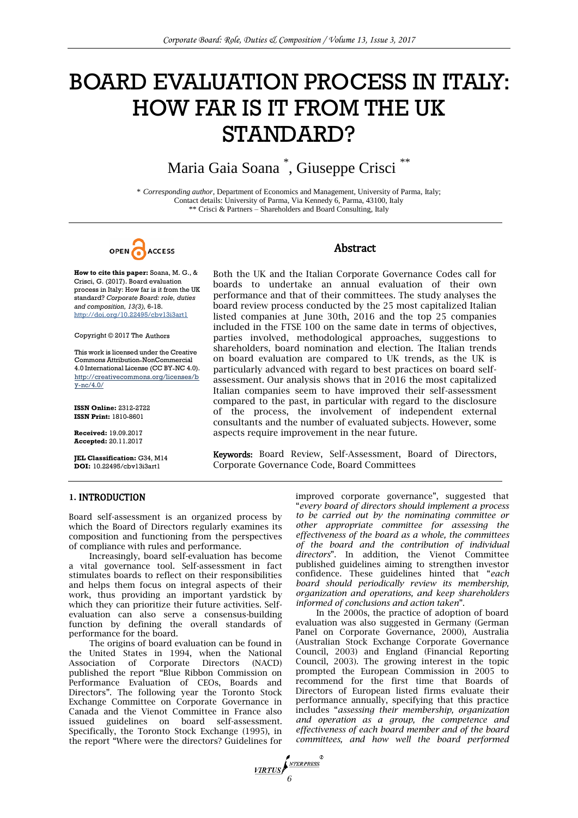# BOARD EVALUATION PROCESS IN ITALY: HOW FAR IS IT FROM THE UK STANDARD?

# Maria Gaia Soana \* , Giuseppe Crisci \*\*

\* *Corresponding author*, Department of Economics and Management, University of Parma, Italy; Contact details: University of Parma, Via Kennedy 6, Parma, 43100, Italy \*\* Crisci & Partners – Shareholders and Board Consulting, Italy

OPEN ACCESS

#### **How to cite this paper:** Soana, M. G., & Crisci, G. (2017). Board evaluation process in Italy: How far is it from the UK standard? *Corporate Board: role, duties and composition, 13(3),* 6-18. http://doi.org/10.22495/cbv13i3art1

Copyright © 2017 The Authors

This work is licensed under the Creative Commons Attribution-NonCommercial 4.0 International License (CC BY-NC 4.0). http://creativecommons.org/licenses/b y-nc/4.0/

**ISSN Online:** 2312-2722 **ISSN Print:** 1810-8601

**Received:** 19.09.2017 **Accepted:** 20.11.2017

**JEL Classification:** G34, M14 **DOI:** 10.22495/cbv13i3art1

## Abstract

Both the UK and the Italian Corporate Governance Codes call for boards to undertake an annual evaluation of their own performance and that of their committees. The study analyses the board review process conducted by the 25 most capitalized Italian listed companies at June 30th, 2016 and the top 25 companies included in the FTSE 100 on the same date in terms of objectives, parties involved, methodological approaches, suggestions to shareholders, board nomination and election. The Italian trends on board evaluation are compared to UK trends, as the UK is particularly advanced with regard to best practices on board selfassessment. Our analysis shows that in 2016 the most capitalized Italian companies seem to have improved their self-assessment compared to the past, in particular with regard to the disclosure of the process, the involvement of independent external consultants and the number of evaluated subjects. However, some aspects require improvement in the near future.

Keywords: Board Review, Self-Assessment, Board of Directors, Corporate Governance Code, Board Committees

#### **1.** INTRODUCTION

Board self-assessment is an organized process by which the Board of Directors regularly examines its composition and functioning from the perspectives of compliance with rules and performance.

Increasingly, board self-evaluation has become a vital governance tool. Self-assessment in fact stimulates boards to reflect on their responsibilities and helps them focus on integral aspects of their work, thus providing an important yardstick by which they can prioritize their future activities. Selfevaluation can also serve a consensus-building function by defining the overall standards of performance for the board.

The origins of board evaluation can be found in the United States in 1994, when the National Association of Corporate Directors (NACD) published the report "Blue Ribbon Commission on Performance Evaluation of CEOs, Boards and Directors". The following year the Toronto Stock Exchange Committee on Corporate Governance in Canada and the Vienot Committee in France also issued guidelines on board self-assessment. Specifically, the Toronto Stock Exchange (1995), in the report "Where were the directors? Guidelines for improved corporate governance", suggested that "*every board of directors should implement a process to be carried out by the nominating committee or other appropriate committee for assessing the effectiveness of the board as a whole, the committees of the board and the contribution of individual directors*". In addition, the Vienot Committee published guidelines aiming to strengthen investor confidence. These guidelines hinted that "*each board should periodically review its membership, organization and operations, and keep shareholders informed of conclusions and action taken*".

In the 2000s, the practice of adoption of board evaluation was also suggested in Germany (German Panel on Corporate Governance, 2000), Australia (Australian Stock Exchange Corporate Governance Council, 2003) and England (Financial Reporting Council, 2003). The growing interest in the topic prompted the European Commission in 2005 to recommend for the first time that Boards of Directors of European listed firms evaluate their performance annually, specifying that this practice includes "*assessing their membership, organization and operation as a group, the competence and effectiveness of each board member and of the board committees, and how well the board performed* 

**FIRTUS**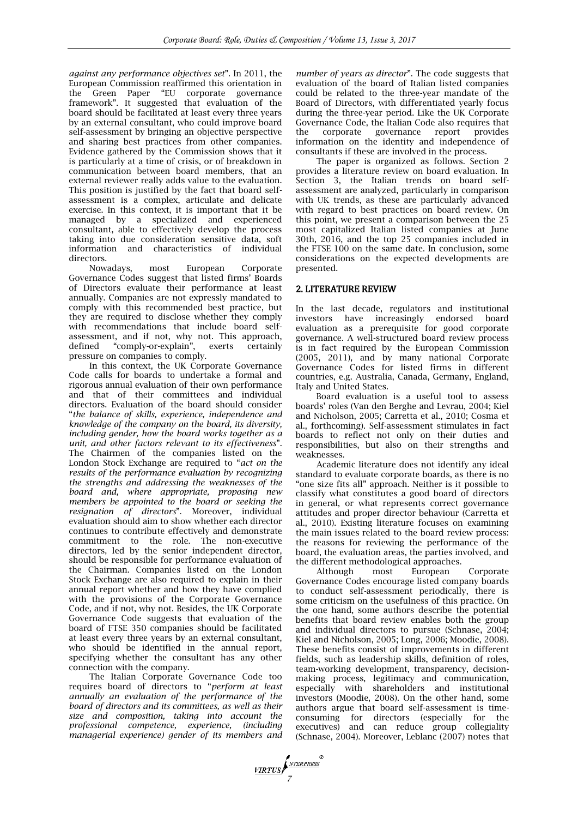*against any performance objectives set*". In 2011, the European Commission reaffirmed this orientation in the Green Paper "EU corporate governance framework". It suggested that evaluation of the board should be facilitated at least every three years by an external consultant, who could improve board self-assessment by bringing an objective perspective and sharing best practices from other companies. Evidence gathered by the Commission shows that it is particularly at a time of crisis, or of breakdown in communication between board members, that an external reviewer really adds value to the evaluation. This position is justified by the fact that board selfassessment is a complex, articulate and delicate exercise. In this context, it is important that it be managed by a specialized and experienced consultant, able to effectively develop the process taking into due consideration sensitive data, soft information and characteristics of individual directors.

Nowadays, most European Corporate Governance Codes suggest that listed firms' Boards of Directors evaluate their performance at least annually. Companies are not expressly mandated to comply with this recommended best practice, but they are required to disclose whether they comply with recommendations that include board selfassessment, and if not, why not. This approach, defined "comply-or-explain", exerts certainly pressure on companies to comply.

In this context, the UK Corporate Governance Code calls for boards to undertake a formal and rigorous annual evaluation of their own performance and that of their committees and individual directors. Evaluation of the board should consider "*the balance of skills, experience, independence and knowledge of the company on the board, its diversity, including gender, how the board works together as a unit, and other factors relevant to its effectiveness*". The Chairmen of the companies listed on the London Stock Exchange are required to "*act on the results of the performance evaluation by recognizing the strengths and addressing the weaknesses of the board and, where appropriate, proposing new members be appointed to the board or seeking the resignation of directors*". Moreover, individual evaluation should aim to show whether each director continues to contribute effectively and demonstrate commitment to the role. The non-executive directors, led by the senior independent director, should be responsible for performance evaluation of the Chairman. Companies listed on the London Stock Exchange are also required to explain in their annual report whether and how they have complied with the provisions of the Corporate Governance Code, and if not, why not. Besides, the UK Corporate Governance Code suggests that evaluation of the board of FTSE 350 companies should be facilitated at least every three years by an external consultant, who should be identified in the annual report, specifying whether the consultant has any other connection with the company.

The Italian Corporate Governance Code too requires board of directors to "*perform at least annually an evaluation of the performance of the board of directors and its committees, as well as their size and composition, taking into account the professional competence, experience, (including managerial experience) gender of its members and* 

*number of years as director*". The code suggests that evaluation of the board of Italian listed companies could be related to the three-year mandate of the Board of Directors, with differentiated yearly focus during the three-year period. Like the UK Corporate Governance Code, the Italian Code also requires that the corporate governance report provides information on the identity and independence of consultants if these are involved in the process.

The paper is organized as follows. Section 2 provides a literature review on board evaluation. In Section 3, the Italian trends on board selfassessment are analyzed, particularly in comparison with UK trends, as these are particularly advanced with regard to best practices on board review. On this point, we present a comparison between the 25 most capitalized Italian listed companies at June 30th, 2016, and the top 25 companies included in the FTSE 100 on the same date. In conclusion, some considerations on the expected developments are presented.

### 2. LITERATURE REVIEW

In the last decade, regulators and institutional investors have increasingly endorsed board evaluation as a prerequisite for good corporate governance. A well-structured board review process is in fact required by the European Commission (2005, 2011), and by many national Corporate Governance Codes for listed firms in different countries, e.g. Australia, Canada, Germany, England, Italy and United States.

Board evaluation is a useful tool to assess boards' roles (Van den Berghe and Levrau, 2004; Kiel and Nicholson, 2005; Carretta et al., 2010; Cosma et al., forthcoming). Self-assessment stimulates in fact boards to reflect not only on their duties and responsibilities, but also on their strengths and weaknesses.

Academic literature does not identify any ideal standard to evaluate corporate boards, as there is no "one size fits all" approach. Neither is it possible to classify what constitutes a good board of directors in general, or what represents correct governance attitudes and proper director behaviour (Carretta et al., 2010). Existing literature focuses on examining the main issues related to the board review process: the reasons for reviewing the performance of the board, the evaluation areas, the parties involved, and the different methodological approaches.

Although most European Corporate Governance Codes encourage listed company boards to conduct self-assessment periodically, there is some criticism on the usefulness of this practice. On the one hand, some authors describe the potential benefits that board review enables both the group and individual directors to pursue (Schnase, 2004; Kiel and Nicholson, 2005; Long, 2006; Moodie, 2008). These benefits consist of improvements in different fields, such as leadership skills, definition of roles, team-working development, transparency, decisionmaking process, legitimacy and communication, especially with shareholders and institutional investors (Moodie, 2008). On the other hand, some authors argue that board self-assessment is timeconsuming for directors (especially for the executives) and can reduce group collegiality (Schnase, 2004). Moreover, Leblanc (2007) notes that

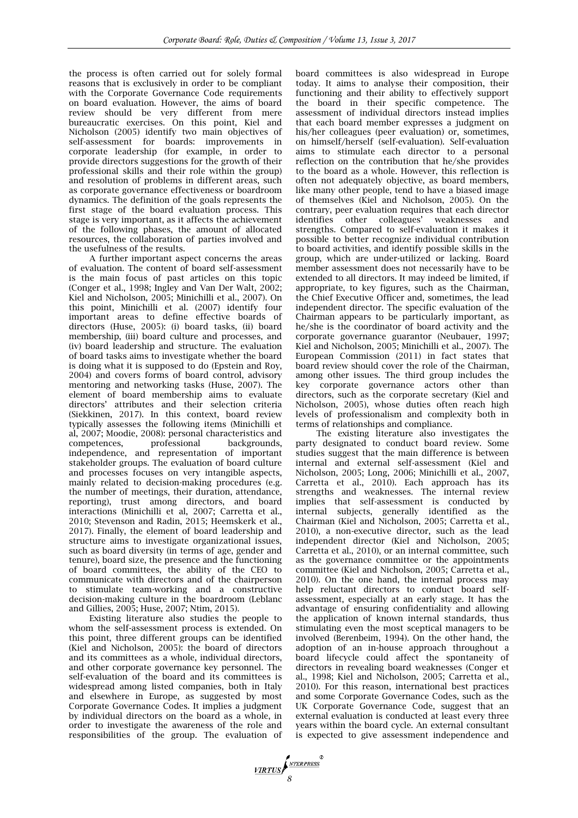the process is often carried out for solely formal reasons that is exclusively in order to be compliant with the Corporate Governance Code requirements on board evaluation. However, the aims of board review should be very different from mere bureaucratic exercises. On this point, Kiel and Nicholson (2005) identify two main objectives of self-assessment for boards: improvements in corporate leadership (for example, in order to provide directors suggestions for the growth of their professional skills and their role within the group) and resolution of problems in different areas, such as corporate governance effectiveness or boardroom dynamics. The definition of the goals represents the first stage of the board evaluation process. This stage is very important, as it affects the achievement of the following phases, the amount of allocated resources, the collaboration of parties involved and the usefulness of the results.

A further important aspect concerns the areas of evaluation. The content of board self-assessment is the main focus of past articles on this topic (Conger et al., 1998; Ingley and Van Der Walt, 2002; Kiel and Nicholson, 2005; Minichilli et al., 2007). On this point, Minichilli et al. (2007) identify four important areas to define effective boards of directors (Huse, 2005): (i) board tasks, (ii) board membership, (iii) board culture and processes, and (iv) board leadership and structure. The evaluation of board tasks aims to investigate whether the board is doing what it is supposed to do (Epstein and Roy, 2004) and covers forms of board control, advisory mentoring and networking tasks (Huse, 2007). The element of board membership aims to evaluate directors' attributes and their selection criteria (Siekkinen, 2017). In this context, board review typically assesses the following items (Minichilli et al, 2007; Moodie, 2008): personal characteristics and competences, professional backgrounds, independence, and representation of important stakeholder groups. The evaluation of board culture and processes focuses on very intangible aspects, mainly related to decision-making procedures (e.g. the number of meetings, their duration, attendance, reporting), trust among directors, and board interactions (Minichilli et al, 2007; Carretta et al., 2010; Stevenson and Radin, 2015; Heemskerk et al., 2017). Finally, the element of board leadership and structure aims to investigate organizational issues, such as board diversity (in terms of age, gender and tenure), board size, the presence and the functioning of board committees, the ability of the CEO to communicate with directors and of the chairperson to stimulate team-working and a constructive decision-making culture in the boardroom (Leblanc and Gillies, 2005; Huse, 2007; Ntim, 2015).

Existing literature also studies the people to whom the self-assessment process is extended. On this point, three different groups can be identified (Kiel and Nicholson, 2005): the board of directors and its committees as a whole, individual directors, and other corporate governance key personnel. The self-evaluation of the board and its committees is widespread among listed companies, both in Italy and elsewhere in Europe, as suggested by most Corporate Governance Codes. It implies a judgment by individual directors on the board as a whole, in order to investigate the awareness of the role and responsibilities of the group. The evaluation of board committees is also widespread in Europe today. It aims to analyse their composition, their functioning and their ability to effectively support the board in their specific competence. The assessment of individual directors instead implies that each board member expresses a judgment on his/her colleagues (peer evaluation) or, sometimes, on himself/herself (self-evaluation). Self-evaluation aims to stimulate each director to a personal reflection on the contribution that he/she provides to the board as a whole. However, this reflection is often not adequately objective, as board members, like many other people, tend to have a biased image of themselves (Kiel and Nicholson, 2005). On the contrary, peer evaluation requires that each director identifies other colleagues' weaknesses and strengths. Compared to self-evaluation it makes it possible to better recognize individual contribution to board activities, and identify possible skills in the group, which are under-utilized or lacking. Board member assessment does not necessarily have to be extended to all directors. It may indeed be limited, if appropriate, to key figures, such as the Chairman, the Chief Executive Officer and, sometimes, the lead independent director. The specific evaluation of the Chairman appears to be particularly important, as he/she is the coordinator of board activity and the corporate governance guarantor (Neubauer, 1997; Kiel and Nicholson, 2005; Minichilli et al., 2007). The European Commission (2011) in fact states that board review should cover the role of the Chairman, among other issues. The third group includes the key corporate governance actors other than directors, such as the corporate secretary (Kiel and Nicholson, 2005), whose duties often reach high levels of professionalism and complexity both in terms of relationships and compliance.

The existing literature also investigates the party designated to conduct board review. Some studies suggest that the main difference is between internal and external self-assessment (Kiel and Nicholson, 2005; Long, 2006; Minichilli et al., 2007, Carretta et al., 2010). Each approach has its strengths and weaknesses. The internal review implies that self-assessment is conducted by internal subjects, generally identified as the Chairman (Kiel and Nicholson, 2005; Carretta et al., 2010), a non-executive director, such as the lead independent director (Kiel and Nicholson, 2005; Carretta et al., 2010), or an internal committee, such as the governance committee or the appointments committee (Kiel and Nicholson, 2005; Carretta et al., 2010). On the one hand, the internal process may help reluctant directors to conduct board selfassessment, especially at an early stage. It has the advantage of ensuring confidentiality and allowing the application of known internal standards, thus stimulating even the most sceptical managers to be involved (Berenbeim, 1994). On the other hand, the adoption of an in-house approach throughout a board lifecycle could affect the spontaneity of directors in revealing board weaknesses (Conger et al., 1998; Kiel and Nicholson, 2005; Carretta et al., 2010). For this reason, international best practices and some Corporate Governance Codes, such as the UK Corporate Governance Code, suggest that an external evaluation is conducted at least every three years within the board cycle. An external consultant is expected to give assessment independence and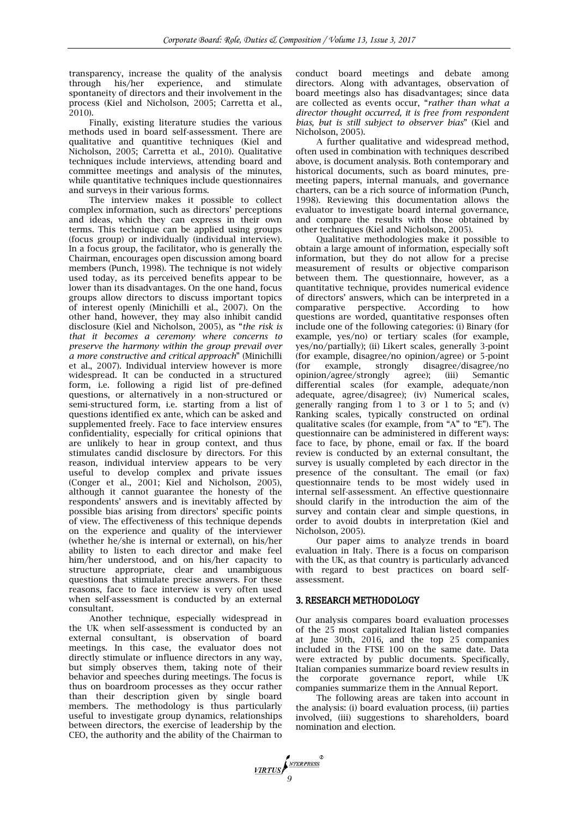transparency, increase the quality of the analysis through his/her experience, and stimulate spontaneity of directors and their involvement in the process (Kiel and Nicholson, 2005; Carretta et al., 2010).

Finally, existing literature studies the various methods used in board self-assessment. There are qualitative and quantitive techniques (Kiel and Nicholson, 2005; Carretta et al., 2010). Qualitative techniques include interviews, attending board and committee meetings and analysis of the minutes, while quantitative techniques include questionnaires and surveys in their various forms.

The interview makes it possible to collect complex information, such as directors' perceptions and ideas, which they can express in their own terms. This technique can be applied using groups (focus group) or individually (individual interview). In a focus group, the facilitator, who is generally the Chairman, encourages open discussion among board members (Punch, 1998). The technique is not widely used today, as its perceived benefits appear to be lower than its disadvantages. On the one hand, focus groups allow directors to discuss important topics of interest openly (Minichilli et al., 2007). On the other hand, however, they may also inhibit candid disclosure (Kiel and Nicholson, 2005), as "*the risk is that it becomes a ceremony where concerns to preserve the harmony within the group prevail over a more constructive and critical approach*" (Minichilli et al., 2007). Individual interview however is more widespread. It can be conducted in a structured form, i.e. following a rigid list of pre-defined questions, or alternatively in a non-structured or semi-structured form, i.e. starting from a list of questions identified ex ante, which can be asked and supplemented freely. Face to face interview ensures confidentiality, especially for critical opinions that are unlikely to hear in group context, and thus stimulates candid disclosure by directors. For this reason, individual interview appears to be very useful to develop complex and private issues (Conger et al., 2001; Kiel and Nicholson, 2005), although it cannot guarantee the honesty of the respondents' answers and is inevitably affected by possible bias arising from directors' specific points of view. The effectiveness of this technique depends on the experience and quality of the interviewer (whether he/she is internal or external), on his/her ability to listen to each director and make feel him/her understood, and on his/her capacity to structure appropriate, clear and unambiguous questions that stimulate precise answers. For these reasons, face to face interview is very often used when self-assessment is conducted by an external consultant.

Another technique, especially widespread in the UK when self-assessment is conducted by an external consultant, is observation of board meetings. In this case, the evaluator does not directly stimulate or influence directors in any way, but simply observes them, taking note of their behavior and speeches during meetings. The focus is thus on boardroom processes as they occur rather than their description given by single board members. The methodology is thus particularly useful to investigate group dynamics, relationships between directors, the exercise of leadership by the CEO, the authority and the ability of the Chairman to

conduct board meetings and debate among directors. Along with advantages, observation of board meetings also has disadvantages; since data are collected as events occur, "*rather than what a director thought occurred, it is free from respondent bias, but is still subject to observer bias*" (Kiel and Nicholson, 2005).

A further qualitative and widespread method, often used in combination with techniques described above, is document analysis. Both contemporary and historical documents, such as board minutes, premeeting papers, internal manuals, and governance charters, can be a rich source of information (Punch, 1998). Reviewing this documentation allows the evaluator to investigate board internal governance, and compare the results with those obtained by other techniques (Kiel and Nicholson, 2005).

Qualitative methodologies make it possible to obtain a large amount of information, especially soft information, but they do not allow for a precise measurement of results or objective comparison between them. The questionnaire, however, as a quantitative technique, provides numerical evidence of directors' answers, which can be interpreted in a comparative perspective. According to how questions are worded, quantitative responses often include one of the following categories: (i) Binary (for example, yes/no) or tertiary scales (for example, yes/no/partially); (ii) Likert scales, generally 3-point (for example, disagree/no opinion/agree) or 5-point (for example, strongly disagree/disagree/no opinion/agree/strongly agree); (iii) Semantic differential scales (for example, adequate/non adequate, agree/disagree); (iv) Numerical scales, generally ranging from 1 to 3 or 1 to 5; and (v) Ranking scales, typically constructed on ordinal qualitative scales (for example, from "A" to "E"). The questionnaire can be administered in different ways: face to face, by phone, email or fax. If the board review is conducted by an external consultant, the survey is usually completed by each director in the presence of the consultant. The email (or fax) questionnaire tends to be most widely used in internal self-assessment. An effective questionnaire should clarify in the introduction the aim of the survey and contain clear and simple questions, in order to avoid doubts in interpretation (Kiel and Nicholson, 2005).

Our paper aims to analyze trends in board evaluation in Italy. There is a focus on comparison with the UK, as that country is particularly advanced with regard to best practices on board selfassessment.

#### 3. RESEARCH METHODOLOGY

Our analysis compares board evaluation processes of the 25 most capitalized Italian listed companies at June 30th, 2016, and the top 25 companies included in the FTSE 100 on the same date. Data were extracted by public documents. Specifically, Italian companies summarize board review results in the corporate governance report, while UK companies summarize them in the Annual Report.

The following areas are taken into account in the analysis: (i) board evaluation process, (ii) parties involved, (iii) suggestions to shareholders, board nomination and election.

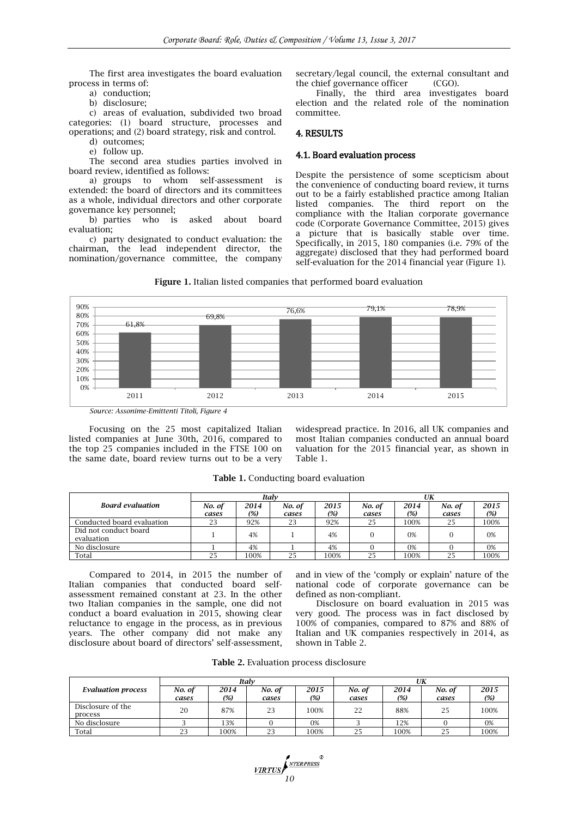The first area investigates the board evaluation process in terms of:

a) conduction;

b) disclosure;

c) areas of evaluation, subdivided two broad categories: (1) board structure, processes and operations; and (2) board strategy, risk and control.

d) outcomes; e) follow up.

The second area studies parties involved in board review, identified as follows:

a) groups to whom self-assessment is extended: the board of directors and its committees as a whole, individual directors and other corporate governance key personnel;

b) parties who is asked about board evaluation;

c) party designated to conduct evaluation: the chairman, the lead independent director, the nomination/governance committee, the company

secretary/legal council, the external consultant and the chief governance officer (CGO).

Finally, the third area investigates board election and the related role of the nomination committee.

### 4. RESULTS

#### 4.1. Board evaluation process

Despite the persistence of some scepticism about the convenience of conducting board review, it turns out to be a fairly established practice among Italian listed companies. The third report on the compliance with the Italian corporate governance code (Corporate Governance Committee, 2015) gives a picture that is basically stable over time. Specifically, in 2015, 180 companies (i.e. 79% of the aggregate) disclosed that they had performed board self-evaluation for the 2014 financial year (Figure 1).

**Figure 1.** Italian listed companies that performed board evaluation



*Source: Assonime-Emittenti Titoli, Figure 4*

Focusing on the 25 most capitalized Italian listed companies at June 30th, 2016, compared to the top 25 companies included in the FTSE 100 on the same date, board review turns out to be a very

widespread practice. In 2016, all UK companies and most Italian companies conducted an annual board valuation for the 2015 financial year, as shown in Table 1.

|                                     |                 |             | Italv           |             | UK              |                |                 |             |  |
|-------------------------------------|-----------------|-------------|-----------------|-------------|-----------------|----------------|-----------------|-------------|--|
| <b>Board evaluation</b>             | No. of<br>cases | 2014<br>(%) | No. of<br>cases | 2015<br>(%) | No. of<br>cases | 2014<br>$(\%)$ | No. of<br>cases | 2015<br>(%) |  |
| Conducted board evaluation          | 23              | 92%         | 23              | 92%         | 25              | 100%           | 25              | 100%        |  |
| Did not conduct board<br>evaluation |                 | 4%          |                 | 4%          |                 | 0%             |                 | 0%          |  |
| No disclosure                       |                 | 4%          |                 | 4%          |                 | 0%             |                 | 0%          |  |
| Total                               | 25              | 100%        | 25              | 100%        | 25              | 100%           | 25              | 100%        |  |

**Table 1.** Conducting board evaluation

Compared to 2014, in 2015 the number of Italian companies that conducted board selfassessment remained constant at 23. In the other two Italian companies in the sample, one did not conduct a board evaluation in 2015, showing clear reluctance to engage in the process, as in previous years. The other company did not make any disclosure about board of directors' self-assessment,

and in view of the 'comply or explain' nature of the national code of corporate governance can be defined as non-compliant.

Disclosure on board evaluation in 2015 was very good. The process was in fact disclosed by 100% of companies, compared to 87% and 88% of Italian and UK companies respectively in 2014, as shown in Table 2.

| Table 2. Evaluation process disclosure |  |  |  |
|----------------------------------------|--|--|--|
|----------------------------------------|--|--|--|

|                              |                 |             | Italv           |             | UK              |             |                 |             |  |  |
|------------------------------|-----------------|-------------|-----------------|-------------|-----------------|-------------|-----------------|-------------|--|--|
| <b>Evaluation process</b>    | No. of<br>cases | 2014<br>(%) | No. of<br>cases | 2015<br>(%) | No. of<br>cases | 2014<br>(%) | No. of<br>cases | 2015<br>(%) |  |  |
| Disclosure of the<br>process | 20              | 87%         | 23              | 100%        | 22              | 88%         | 25              | 100%        |  |  |
| No disclosure                |                 | 13%         |                 | 0%          |                 | 12%         |                 | 0%          |  |  |
| Total                        | 23              | 100%        | 23              | 100%        | 25              | 100%        | 25              | 100%        |  |  |

**11RTUS**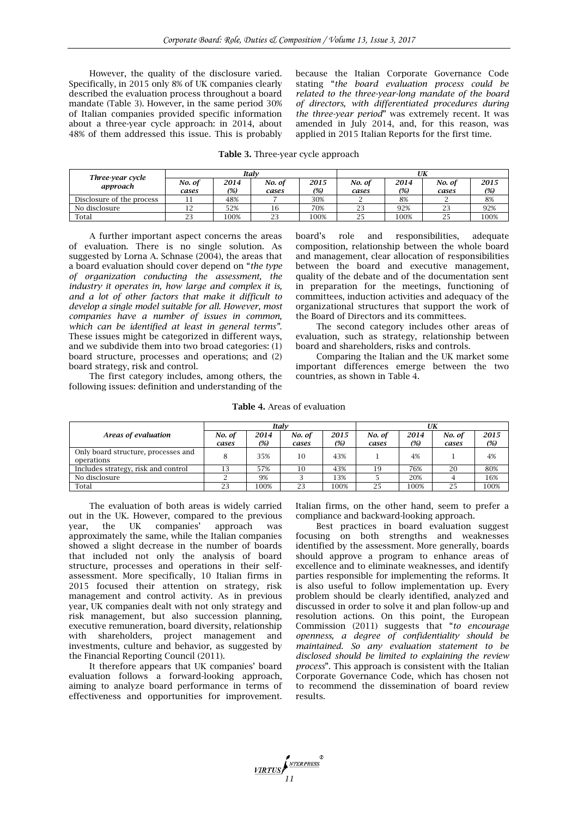However, the quality of the disclosure varied. Specifically, in 2015 only 8% of UK companies clearly described the evaluation process throughout a board mandate (Table 3). However, in the same period 30% of Italian companies provided specific information about a three-year cycle approach: in 2014, about 48% of them addressed this issue. This is probably because the Italian Corporate Governance Code stating "*the board evaluation process could be related to the three-year-long mandate of the board of directors, with differentiated procedures during the three-year period*" was extremely recent. It was amended in July 2014, and, for this reason, was applied in 2015 Italian Reports for the first time.

|  |  |  | <b>Table 3.</b> Three-year cycle approach |  |  |  |
|--|--|--|-------------------------------------------|--|--|--|
|--|--|--|-------------------------------------------|--|--|--|

|                              |        | Italv |                 |      | UK             |      |        |      |  |
|------------------------------|--------|-------|-----------------|------|----------------|------|--------|------|--|
| Three-year cycle<br>approach | No. of | 2014  | No. of          | 2015 | No. of         | 2014 | No. of | 2015 |  |
|                              | cases  | (%)   | cases           | (%)  | cases          | (%)  | cases  | (%)  |  |
| Disclosure of the process    |        | 48%   |                 | 30%  |                | 8%   |        | 8%   |  |
| No disclosure                |        | 52%   | 10              | 70%  | $\Omega$<br>23 | 92%  | 23     | 92%  |  |
| Total                        | 23     | 100%  | $\Omega$<br>ن ک | 100% |                | 100% | 25     | 100% |  |

A further important aspect concerns the areas of evaluation. There is no single solution. As suggested by Lorna A. Schnase (2004), the areas that a board evaluation should cover depend on "*the type of organization conducting the assessment, the industry it operates in, how large and complex it is, and a lot of other factors that make it difficult to develop a single model suitable for all. However, most companies have a number of issues in common, which can be identified at least in general terms"*. These issues might be categorized in different ways, and we subdivide them into two broad categories: (1) board structure, processes and operations; and (2) board strategy, risk and control.

The first category includes, among others, the following issues: definition and understanding of the board's role and responsibilities, adequate composition, relationship between the whole board and management, clear allocation of responsibilities between the board and executive management, quality of the debate and of the documentation sent in preparation for the meetings, functioning of committees, induction activities and adequacy of the organizational structures that support the work of the Board of Directors and its committees.

The second category includes other areas of evaluation, such as strategy, relationship between board and shareholders, risks and controls.

Comparing the Italian and the UK market some important differences emerge between the two countries, as shown in Table 4.

**Table 4.** Areas of evaluation

|                                                   |                 |             | Italv           |             | UK              |             |                 |             |  |
|---------------------------------------------------|-----------------|-------------|-----------------|-------------|-----------------|-------------|-----------------|-------------|--|
| Areas of evaluation                               | No. of<br>cases | 2014<br>(%) | No. of<br>cases | 2015<br>(%) | No. of<br>cases | 2014<br>(%) | No. of<br>cases | 2015<br>(%) |  |
| Only board structure, processes and<br>operations |                 | 35%         | 10              | 43%         |                 | 4%          |                 | 4%          |  |
| Includes strategy, risk and control               | 13              | 57%         | 10              | 43%         | 19              | 76%         | 20              | 80%         |  |
| No disclosure                                     |                 | 9%          |                 | 13%         |                 | 20%         |                 | 16%         |  |
| Total                                             | 23              | 100%        | 23              | 100%        | 25              | 100%        | 25              | 100%        |  |

The evaluation of both areas is widely carried out in the UK. However, compared to the previous year, the UK companies' approach was approximately the same, while the Italian companies showed a slight decrease in the number of boards that included not only the analysis of board structure, processes and operations in their selfassessment. More specifically, 10 Italian firms in 2015 focused their attention on strategy, risk management and control activity. As in previous year, UK companies dealt with not only strategy and risk management, but also succession planning, executive remuneration, board diversity, relationship with shareholders, project management and investments, culture and behavior, as suggested by the Financial Reporting Council (2011).

It therefore appears that UK companies' board evaluation follows a forward-looking approach, aiming to analyze board performance in terms of effectiveness and opportunities for improvement. Italian firms, on the other hand, seem to prefer a compliance and backward-looking approach.

Best practices in board evaluation suggest focusing on both strengths and weaknesses identified by the assessment. More generally, boards should approve a program to enhance areas of excellence and to eliminate weaknesses, and identify parties responsible for implementing the reforms. It is also useful to follow implementation up. Every problem should be clearly identified, analyzed and discussed in order to solve it and plan follow-up and resolution actions. On this point, the European Commission (2011) suggests that "*to encourage openness, a degree of confidentiality should be maintained. So any evaluation statement to be disclosed should be limited to explaining the review process*". This approach is consistent with the Italian Corporate Governance Code, which has chosen not to recommend the dissemination of board review results.

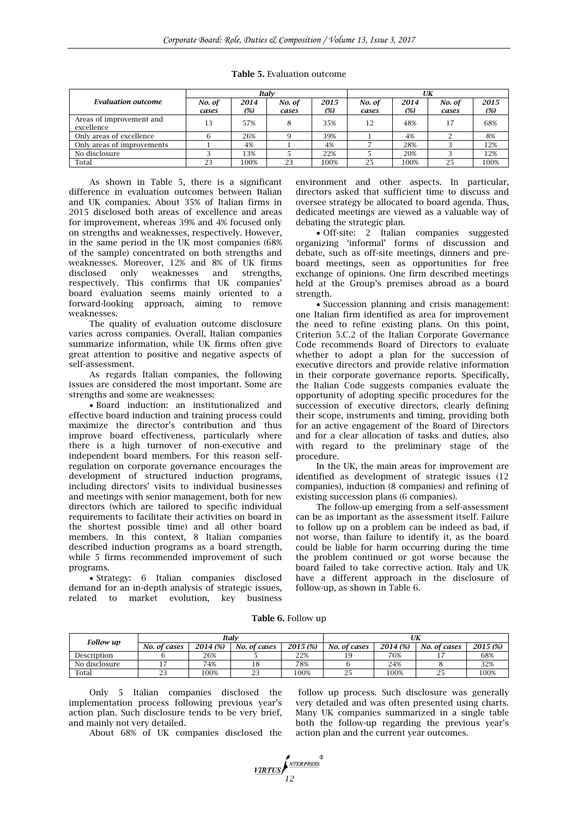|                                        |                 |             | Italv           |             | UK              |             |                 |             |  |
|----------------------------------------|-----------------|-------------|-----------------|-------------|-----------------|-------------|-----------------|-------------|--|
| <b>Evaluation outcome</b>              | No. of<br>cases | 2014<br>(%) | No. of<br>cases | 2015<br>(%) | No. of<br>cases | 2014<br>(%) | No. of<br>cases | 2015<br>(%) |  |
| Areas of improvement and<br>excellence | 13              | 57%         |                 | 35%         | 12              | 48%         |                 | 68%         |  |
| Only areas of excellence               |                 | 26%         |                 | 39%         |                 | 4%          |                 | 8%          |  |
| Only areas of improvements             |                 | 4%          |                 | 4%          |                 | 28%         |                 | 12%         |  |
| No disclosure                          |                 | 13%         |                 | 22%         |                 | 20%         |                 | 12%         |  |
| Total                                  | 23              | 100%        | 23              | 100%        | 25              | 100%        | 25              | 100%        |  |

**Table 5.** Evaluation outcome

As shown in Table 5, there is a significant difference in evaluation outcomes between Italian and UK companies. About 35% of Italian firms in 2015 disclosed both areas of excellence and areas for improvement, whereas 39% and 4% focused only on strengths and weaknesses, respectively. However, in the same period in the UK most companies (68% of the sample) concentrated on both strengths and weaknesses. Moreover, 12% and 8% of UK firms disclosed only weaknesses and strengths, respectively. This confirms that UK companies' board evaluation seems mainly oriented to a forward-looking approach, aiming to remove weaknesses.

The quality of evaluation outcome disclosure varies across companies. Overall, Italian companies summarize information, while UK firms often give great attention to positive and negative aspects of self-assessment.

As regards Italian companies, the following issues are considered the most important. Some are strengths and some are weaknesses:

 Board induction: an institutionalized and effective board induction and training process could maximize the director's contribution and thus improve board effectiveness, particularly where there is a high turnover of non‐executive and independent board members. For this reason self‐ regulation on corporate governance encourages the development of structured induction programs, including directors' visits to individual businesses and meetings with senior management, both for new directors (which are tailored to specific individual requirements to facilitate their activities on board in the shortest possible time) and all other board members. In this context, 8 Italian companies described induction programs as a board strength, while 5 firms recommended improvement of such programs.

 Strategy: 6 Italian companies disclosed demand for an in-depth analysis of strategic issues, related to market evolution, key business environment and other aspects. In particular, directors asked that sufficient time to discuss and oversee strategy be allocated to board agenda. Thus, dedicated meetings are viewed as a valuable way of debating the strategic plan.

 Off-site: 2 Italian companies suggested organizing 'informal' forms of discussion and debate, such as off-site meetings, dinners and preboard meetings, seen as opportunities for free exchange of opinions. One firm described meetings held at the Group's premises abroad as a board strength.

 Succession planning and crisis management: one Italian firm identified as area for improvement the need to refine existing plans. On this point, Criterion 5.C.2 of the Italian Corporate Governance Code recommends Board of Directors to evaluate whether to adopt a plan for the succession of executive directors and provide relative information in their corporate governance reports. Specifically, the Italian Code suggests companies evaluate the opportunity of adopting specific procedures for the succession of executive directors, clearly defining their scope, instruments and timing, providing both for an active engagement of the Board of Directors and for a clear allocation of tasks and duties, also with regard to the preliminary stage of the procedure.

In the UK, the main areas for improvement are identified as development of strategic issues (12 companies), induction (8 companies) and refining of existing succession plans (6 companies).

The follow-up emerging from a self-assessment can be as important as the assessment itself. Failure to follow up on a problem can be indeed as bad, if not worse, than failure to identify it, as the board could be liable for harm occurring during the time the problem continued or got worse because the board failed to take corrective action. Italy and UK have a different approach in the disclosure of follow-up, as shown in Table 6.

**Table 6.** Follow up

| <b>Follow up</b> |                 |          | Italv                |          | UK           |          |              |          |  |  |
|------------------|-----------------|----------|----------------------|----------|--------------|----------|--------------|----------|--|--|
|                  | No. of cases    | 2014 (%) | No. of cases         | 2015 (%) | No. of cases | 2014 (%) | No. of cases | 2015 (%) |  |  |
| Description      |                 | 26%      |                      | 22%      |              | 76%      |              | 68%      |  |  |
| No disclosure    |                 | 74%      | Ιŏ                   | 78%      |              | 24%      |              | 32%      |  |  |
| Total            | $\Omega$<br>ر ے | 100%     | $\sim$ $\sim$<br>ر ے | 100%     | ر ے          | 100%     | ں ے          | 100%     |  |  |

Only 5 Italian companies disclosed the implementation process following previous year's action plan. Such disclosure tends to be very brief, and mainly not very detailed.

About 68% of UK companies disclosed the

follow up process. Such disclosure was generally very detailed and was often presented using charts. Many UK companies summarized in a single table both the follow-up regarding the previous year's action plan and the current year outcomes.

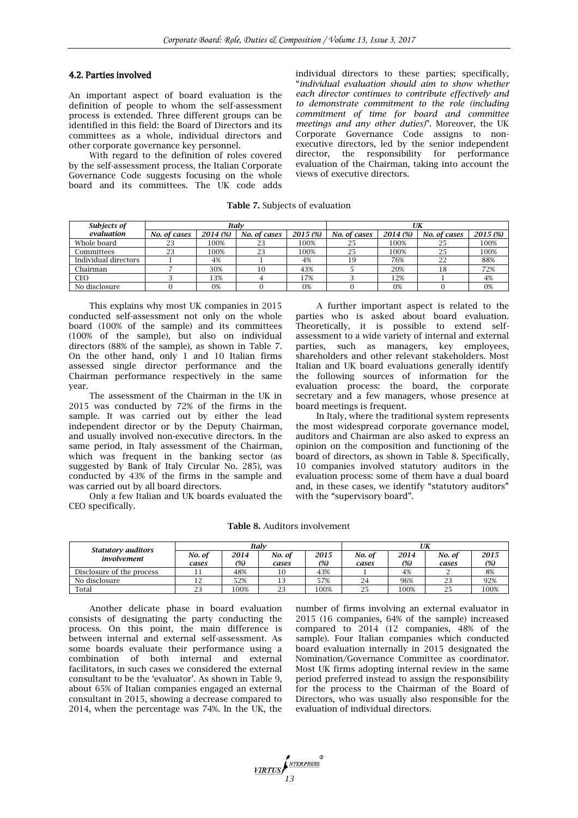#### 4.2. Parties involved

An important aspect of board evaluation is the definition of people to whom the self-assessment process is extended. Three different groups can be identified in this field: the Board of Directors and its committees as a whole, individual directors and other corporate governance key personnel.

With regard to the definition of roles covered by the self-assessment process, the Italian Corporate Governance Code suggests focusing on the whole board and its committees. The UK code adds

individual directors to these parties; specifically, "*individual evaluation should aim to show whether each director continues to contribute effectively and to demonstrate commitment to the role (including commitment of time for board and committee meetings and any other duties)*". Moreover, the UK Corporate Governance Code assigns to nonexecutive directors, led by the senior independent director, the responsibility for performance evaluation of the Chairman, taking into account the views of executive directors.

**Table 7.** Subjects of evaluation

| Subjects of          |              |          | Italv        |          | UK           |          |              |          |  |
|----------------------|--------------|----------|--------------|----------|--------------|----------|--------------|----------|--|
| evaluation           | No. of cases | 2014 (%) | No. of cases | 2015 (%) | No. of cases | 2014 (%) | No. of cases | 2015 (%) |  |
| Whole board          |              | 100%     | 23           | 100%     | 25           | 100%     | 25           | 100%     |  |
| Committees           | 23           | 100%     | 23           | 100%     | 25           | 100%     | 25           | 100%     |  |
| Individual directors |              | 4%       |              | 4%       | 19           | 76%      | 22           | 88%      |  |
| Chairman             |              | 30%      | 10           | 43%      |              | 20%      | 18           | 72%      |  |
| CEO                  |              | 13%      |              | 17%      |              | 12%      |              | 4%       |  |
| No disclosure        |              | 0%       |              | 0%       |              | 0%       |              | 0%       |  |

This explains why most UK companies in 2015 conducted self-assessment not only on the whole board (100% of the sample) and its committees (100% of the sample), but also on individual directors (88% of the sample), as shown in Table 7. On the other hand, only 1 and 10 Italian firms assessed single director performance and the Chairman performance respectively in the same year.

The assessment of the Chairman in the UK in 2015 was conducted by 72% of the firms in the sample. It was carried out by either the lead independent director or by the Deputy Chairman, and usually involved non-executive directors. In the same period, in Italy assessment of the Chairman, which was frequent in the banking sector (as suggested by Bank of Italy Circular No. 285), was conducted by 43% of the firms in the sample and was carried out by all board directors.

Only a few Italian and UK boards evaluated the CEO specifically.

A further important aspect is related to the parties who is asked about board evaluation. Theoretically, it is possible to extend selfassessment to a wide variety of internal and external parties, such as managers, key employees, shareholders and other relevant stakeholders. Most Italian and UK board evaluations generally identify the following sources of information for the evaluation process: the board, the corporate secretary and a few managers, whose presence at board meetings is frequent.

In Italy, where the traditional system represents the most widespread corporate governance model, auditors and Chairman are also asked to express an opinion on the composition and functioning of the board of directors, as shown in Table 8. Specifically, 10 companies involved statutory auditors in the evaluation process: some of them have a dual board and, in these cases, we identify "statutory auditors" with the "supervisory board".

| <b>Table 8. Auditors involvement</b> |  |
|--------------------------------------|--|
|--------------------------------------|--|

|                                          |        |      | Italv  |      | UK     |        |        |        |  |
|------------------------------------------|--------|------|--------|------|--------|--------|--------|--------|--|
| <b>Statutory auditors</b><br>involvement | No. of | 2014 | No. of | 2015 | No. of | 2014   | No. of | 2015   |  |
|                                          | cases  | (%)  | cases  | (%)  | cases  | $(\%)$ | cases  | $(\%)$ |  |
| Disclosure of the process                | 11     | 48%  | 10     | 43%  |        | 4%     |        | 8%     |  |
| No disclosure                            | 12     | 52%  | 13     | 57%  | 24     | 96%    | 23     | 92%    |  |
| Total                                    | 23     | 100% | 23     | 100% | 25     | 100%   | 25     | 100%   |  |

Another delicate phase in board evaluation consists of designating the party conducting the process. On this point, the main difference is between internal and external self-assessment. As some boards evaluate their performance using a combination of both internal and external facilitators, in such cases we considered the external consultant to be the 'evaluator'. As shown in Table 9, about 65% of Italian companies engaged an external consultant in 2015, showing a decrease compared to 2014, when the percentage was 74%. In the UK, the

number of firms involving an external evaluator in 2015 (16 companies, 64% of the sample) increased compared to 2014 (12 companies, 48% of the sample). Four Italian companies which conducted board evaluation internally in 2015 designated the Nomination/Governance Committee as coordinator. Most UK firms adopting internal review in the same period preferred instead to assign the responsibility for the process to the Chairman of the Board of Directors, who was usually also responsible for the evaluation of individual directors.

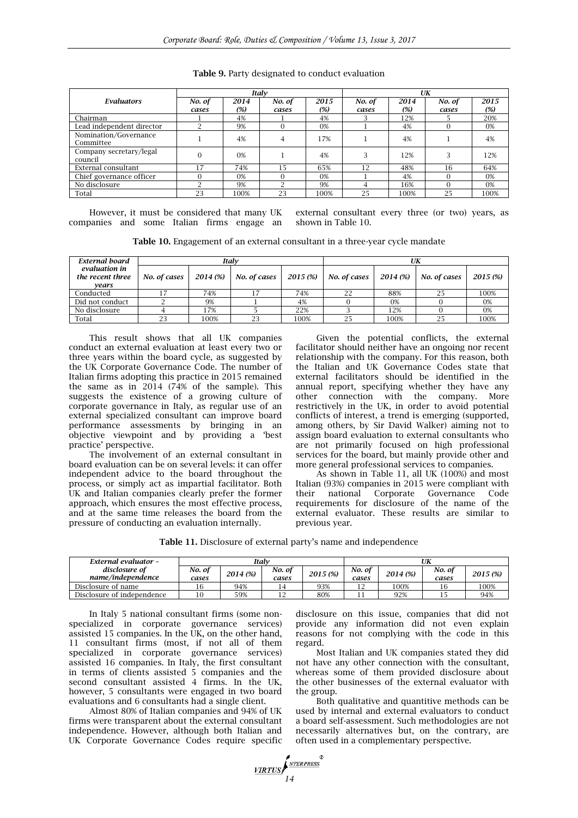|                           |        |      | Italv    |      | UK     |      |        |      |  |
|---------------------------|--------|------|----------|------|--------|------|--------|------|--|
| Evaluators                | No. of | 2014 | No. of   | 2015 | No. of | 2014 | No. of | 2015 |  |
|                           | cases  | (%)  | cases    | (%)  | cases  | (%)  | cases  | (%)  |  |
| Chairman                  |        | 4%   |          | 4%   |        | 12%  |        | 20%  |  |
| Lead independent director |        | 9%   | $\Omega$ | 0%   |        | 4%   |        | 0%   |  |
| Nomination/Governance     |        |      |          | 17%  |        |      |        | 4%   |  |
| Committee                 |        | 4%   | 4        |      |        | 4%   |        |      |  |
| Company secretary/legal   |        | 0%   |          | 4%   | 3      | 12%  |        | 12%  |  |
| council                   |        |      |          |      |        |      |        |      |  |
| External consultant       | ۱7     | 74%  | 15       | 65%  | 12     | 48%  | 16     | 64%  |  |
| Chief governance officer  |        | 0%   | $\Omega$ | 0%   |        | 4%   |        | 0%   |  |
| No disclosure             |        | 9%   |          | 9%   | 4      | 16%  |        | 0%   |  |
| Total                     | 23     | 100% | 23       | 100% | 25     | 100% | 25     | 100% |  |

**Table 9.** Party designated to conduct evaluation

However, it must be considered that many UK companies and some Italian firms engage an external consultant every three (or two) years, as shown in Table 10.

**Table 10.** Engagement of an external consultant in a three-year cycle mandate

| External board                             |              |          | Italv        |          | UK           |          |              |          |
|--------------------------------------------|--------------|----------|--------------|----------|--------------|----------|--------------|----------|
| evaluation in<br>the recent three<br>vears | No. of cases | 2014 (%) | No. of cases | 2015 (%) | No. of cases | 2014 (%) | No. of cases | 2015 (%) |
| Conducted                                  |              | 74%      |              | 74%      | 22           | 88%      |              | 100%     |
| Did not conduct                            |              | 9%       |              | 4%       |              | 0%       |              | 0%       |
| No disclosure                              |              | 17%      |              | 22%      |              | 12%      |              | 0%       |
| Total                                      | 23           | 100%     | 23           | 100%     | 25           | 100%     |              | 100%     |

This result shows that all UK companies conduct an external evaluation at least every two or three years within the board cycle, as suggested by the UK Corporate Governance Code. The number of Italian firms adopting this practice in 2015 remained the same as in 2014 (74% of the sample). This suggests the existence of a growing culture of corporate governance in Italy, as regular use of an external specialized consultant can improve board performance assessments by bringing in an objective viewpoint and by providing a 'best practice' perspective.

The involvement of an external consultant in board evaluation can be on several levels: it can offer independent advice to the board throughout the process, or simply act as impartial facilitator. Both UK and Italian companies clearly prefer the former approach, which ensures the most effective process, and at the same time releases the board from the pressure of conducting an evaluation internally.

Given the potential conflicts, the external facilitator should neither have an ongoing nor recent relationship with the company. For this reason, both the Italian and UK Governance Codes state that external facilitators should be identified in the annual report, specifying whether they have any other connection with the company. More restrictively in the UK, in order to avoid potential conflicts of interest, a trend is emerging (supported, among others, by Sir David Walker) aiming not to assign board evaluation to external consultants who are not primarily focused on high professional services for the board, but mainly provide other and more general professional services to companies.

As shown in Table 11, all UK (100%) and most Italian (93%) companies in 2015 were compliant with their national Corporate Governance Code requirements for disclosure of the name of the external evaluator. These results are similar to previous year.

**Table 11.** Disclosure of external party's name and independence

| External evaluator -               | Italv           |          |                 |          |                 |          |                 |          |
|------------------------------------|-----------------|----------|-----------------|----------|-----------------|----------|-----------------|----------|
| disclosure of<br>name/independence | No. of<br>cases | 2014 (%) | No. of<br>cases | 2015 (%) | No. of<br>cases | 2014 (%) | No. of<br>cases | 2015 (%) |
| Disclosure of name                 |                 | 94%      | ۱4              | 93%      |                 | 100%     | 16              | 100%     |
| Disclosure of independence         | 10              | 59%      | ∸∸              | 80%      |                 | 92%      | ⊥ ∪             | 94%      |

**1444 MILLET DESCRIPTION OF STREET SERVICE** 

In Italy 5 national consultant firms (some nonspecialized in corporate governance services) assisted 15 companies. In the UK, on the other hand, 11 consultant firms (most, if not all of them specialized in corporate governance services) assisted 16 companies. In Italy, the first consultant in terms of clients assisted 5 companies and the second consultant assisted 4 firms. In the UK, however, 5 consultants were engaged in two board evaluations and 6 consultants had a single client.

Almost 80% of Italian companies and 94% of UK firms were transparent about the external consultant independence. However, although both Italian and UK Corporate Governance Codes require specific

disclosure on this issue, companies that did not provide any information did not even explain reasons for not complying with the code in this regard.

Most Italian and UK companies stated they did not have any other connection with the consultant, whereas some of them provided disclosure about the other businesses of the external evaluator with the group.

Both qualitative and quantitive methods can be used by internal and external evaluators to conduct a board self-assessment. Such methodologies are not necessarily alternatives but, on the contrary, are often used in a complementary perspective.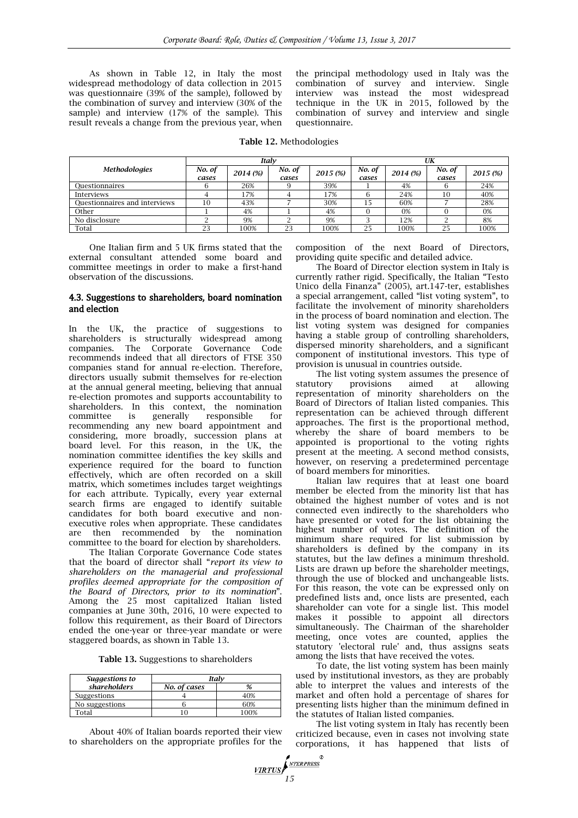As shown in Table 12, in Italy the most widespread methodology of data collection in 2015 was questionnaire (39% of the sample), followed by the combination of survey and interview (30% of the sample) and interview  $(17\% \text{ of the sample})$ . This result reveals a change from the previous year, when

the principal methodology used in Italy was the combination of survey and interview. Single interview was instead the most widespread technique in the UK in 2015, followed by the combination of survey and interview and single questionnaire.

**Table 12.** Methodologies

|                               | Italv           |          |                 |          | UK              |          |                 |          |
|-------------------------------|-----------------|----------|-----------------|----------|-----------------|----------|-----------------|----------|
| <b>Methodologies</b>          | No. of<br>cases | 2014 (%) | No. of<br>cases | 2015 (%) | No. of<br>cases | 2014 (%) | No. of<br>cases | 2015 (%) |
| Ouestionnaires                |                 | 26%      |                 | 39%      |                 | 4%       |                 | 24%      |
| Interviews                    |                 | 17%      |                 | 17%      |                 | 24%      | 10              | 40%      |
| Questionnaires and interviews | 10              | 43%      |                 | 30%      | 15              | 60%      |                 | 28%      |
| Other                         |                 | 4%       |                 | 4%       |                 | 0%       |                 | 0%       |
| No disclosure                 |                 | 9%       |                 | 9%       |                 | 12%      |                 | 8%       |
| Total                         | 23              | 100%     | 23              | 100%     | 25              | 100%     | 25              | 100%     |

One Italian firm and 5 UK firms stated that the external consultant attended some board and committee meetings in order to make a first-hand observation of the discussions.

#### 4.3. Suggestions to shareholders, board nomination and election

In the UK, the practice of suggestions to shareholders is structurally widespread among companies. The Corporate Governance Code recommends indeed that all directors of FTSE 350 companies stand for annual re-election. Therefore, directors usually submit themselves for re-election at the annual general meeting, believing that annual re-election promotes and supports accountability to shareholders. In this context, the nomination committee is generally responsible for recommending any new board appointment and considering, more broadly, succession plans at board level. For this reason, in the UK, the nomination committee identifies the key skills and experience required for the board to function effectively, which are often recorded on a skill matrix, which sometimes includes target weightings for each attribute. Typically, every year external search firms are engaged to identify suitable candidates for both board executive and nonexecutive roles when appropriate. These candidates are then recommended by the nomination committee to the board for election by shareholders.

The Italian Corporate Governance Code states that the board of director shall "*report its view to shareholders on the managerial and professional profiles deemed appropriate for the composition of the Board of Directors, prior to its nomination*". Among the 25 most capitalized Italian listed companies at June 30th, 2016, 10 were expected to follow this requirement, as their Board of Directors ended the one-year or three-year mandate or were staggered boards, as shown in Table 13.

**Table 13.** Suggestions to shareholders

| Suggestions to | Italv        |     |  |  |  |
|----------------|--------------|-----|--|--|--|
| shareholders   | No. of cases |     |  |  |  |
| Suggestions    |              | -0% |  |  |  |
| No suggestions |              | 50% |  |  |  |
| Total          |              | 00% |  |  |  |

About 40% of Italian boards reported their view to shareholders on the appropriate profiles for the

composition of the next Board of Directors, providing quite specific and detailed advice.

The Board of Director election system in Italy is currently rather rigid. Specifically, the Italian "Testo Unico della Finanza" (2005), art.147-ter, establishes a special arrangement, called "list voting system", to facilitate the involvement of minority shareholders in the process of board nomination and election. The list voting system was designed for companies having a stable group of controlling shareholders, dispersed minority shareholders, and a significant component of institutional investors. This type of provision is unusual in countries outside.

The list voting system assumes the presence of statutory provisions aimed at allowing representation of minority shareholders on the Board of Directors of Italian listed companies. This representation can be achieved through different approaches. The first is the proportional method, whereby the share of board members to be appointed is proportional to the voting rights present at the meeting. A second method consists, however, on reserving a predetermined percentage of board members for minorities.

Italian law requires that at least one board member be elected from the minority list that has obtained the highest number of votes and is not connected even indirectly to the shareholders who have presented or voted for the list obtaining the highest number of votes. The definition of the minimum share required for list submission by shareholders is defined by the company in its statutes, but the law defines a minimum threshold. Lists are drawn up before the shareholder meetings, through the use of blocked and unchangeable lists. For this reason, the vote can be expressed only on predefined lists and, once lists are presented, each shareholder can vote for a single list. This model makes it possible to appoint all directors simultaneously. The Chairman of the shareholder meeting, once votes are counted, applies the statutory 'electoral rule' and, thus assigns seats among the lists that have received the votes.

To date, the list voting system has been mainly used by institutional investors, as they are probably able to interpret the values and interests of the market and often hold a percentage of shares for presenting lists higher than the minimum defined in the statutes of Italian listed companies.

The list voting system in Italy has recently been criticized because, even in cases not involving state corporations, it has happened that lists of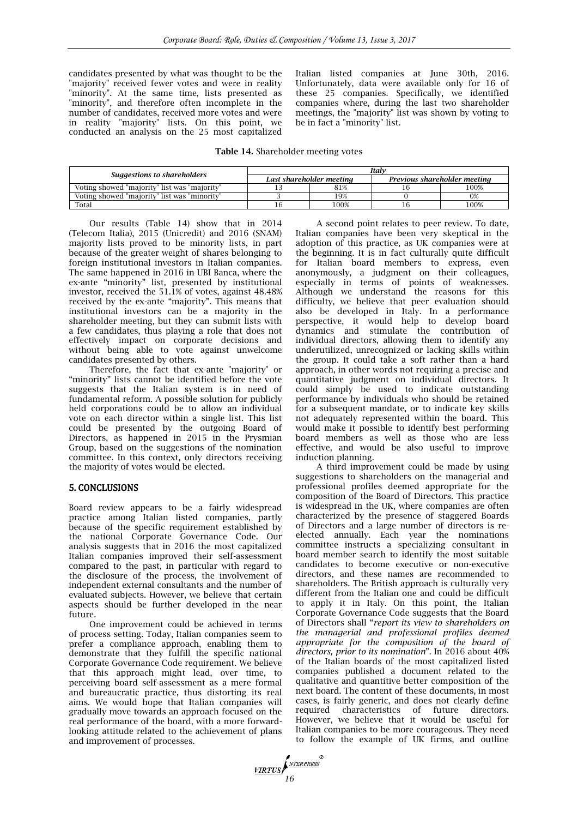candidates presented by what was thought to be the "majority" received fewer votes and were in reality "minority". At the same time, lists presented as "minority", and therefore often incomplete in the number of candidates, received more votes and were in reality "majority" lists. On this point, we conducted an analysis on the 25 most capitalized

Italian listed companies at June 30th, 2016. Unfortunately, data were available only for 16 of these 25 companies. Specifically, we identified companies where, during the last two shareholder meetings, the "majority" list was shown by voting to be in fact a "minority" list.

#### **Table 14.** Shareholder meeting votes

|                                              | Italv |                          |                              |      |  |  |  |
|----------------------------------------------|-------|--------------------------|------------------------------|------|--|--|--|
| Suggestions to shareholders                  |       | Last shareholder meeting | Previous shareholder meeting |      |  |  |  |
| Voting showed "majority" list was "majority" |       | 81%                      |                              | 100% |  |  |  |
| Voting showed "majority" list was "minority" |       | 19%                      |                              | 0%   |  |  |  |
| Total                                        |       | 100%                     |                              | 100% |  |  |  |

Our results (Table 14) show that in 2014 (Telecom Italia), 2015 (Unicredit) and 2016 (SNAM) majority lists proved to be minority lists, in part because of the greater weight of shares belonging to foreign institutional investors in Italian companies. The same happened in 2016 in UBI Banca, where the ex-ante "minority" list, presented by institutional investor, received the 51.1% of votes, against 48.48% received by the ex-ante "majority". This means that institutional investors can be a majority in the shareholder meeting, but they can submit lists with a few candidates, thus playing a role that does not effectively impact on corporate decisions and without being able to vote against unwelcome candidates presented by others.

Therefore, the fact that ex-ante "majority" or "minority" lists cannot be identified before the vote suggests that the Italian system is in need of fundamental reform. A possible solution for publicly held corporations could be to allow an individual vote on each director within a single list. This list could be presented by the outgoing Board of Directors, as happened in 2015 in the Prysmian Group, based on the suggestions of the nomination committee. In this context, only directors receiving the majority of votes would be elected.

#### 5. CONCLUSIONS

Board review appears to be a fairly widespread practice among Italian listed companies, partly because of the specific requirement established by the national Corporate Governance Code. Our analysis suggests that in 2016 the most capitalized Italian companies improved their self-assessment compared to the past, in particular with regard to the disclosure of the process, the involvement of independent external consultants and the number of evaluated subjects. However, we believe that certain aspects should be further developed in the near future.

One improvement could be achieved in terms of process setting. Today, Italian companies seem to prefer a compliance approach, enabling them to demonstrate that they fulfill the specific national Corporate Governance Code requirement. We believe that this approach might lead, over time, to perceiving board self-assessment as a mere formal and bureaucratic practice, thus distorting its real aims. We would hope that Italian companies will gradually move towards an approach focused on the real performance of the board, with a more forwardlooking attitude related to the achievement of plans and improvement of processes.

A second point relates to peer review. To date, Italian companies have been very skeptical in the adoption of this practice, as UK companies were at the beginning. It is in fact culturally quite difficult for Italian board members to express, even anonymously, a judgment on their colleagues, especially in terms of points of weaknesses. Although we understand the reasons for this difficulty, we believe that peer evaluation should also be developed in Italy. In a performance perspective, it would help to develop board dynamics and stimulate the contribution of individual directors, allowing them to identify any underutilized, unrecognized or lacking skills within the group. It could take a soft rather than a hard approach, in other words not requiring a precise and quantitative judgment on individual directors. It could simply be used to indicate outstanding performance by individuals who should be retained for a subsequent mandate, or to indicate key skills not adequately represented within the board. This would make it possible to identify best performing board members as well as those who are less effective, and would be also useful to improve induction planning.

A third improvement could be made by using suggestions to shareholders on the managerial and professional profiles deemed appropriate for the composition of the Board of Directors. This practice is widespread in the UK, where companies are often characterized by the presence of staggered Boards of Directors and a large number of directors is reelected annually. Each year the nominations committee instructs a specializing consultant in board member search to identify the most suitable candidates to become executive or non-executive directors, and these names are recommended to shareholders. The British approach is culturally very different from the Italian one and could be difficult to apply it in Italy. On this point, the Italian Corporate Governance Code suggests that the Board of Directors shall "*report its view to shareholders on the managerial and professional profiles deemed appropriate for the composition of the board of directors, prior to its nomination*". In 2016 about 40% of the Italian boards of the most capitalized listed companies published a document related to the qualitative and quantitive better composition of the next board. The content of these documents, in most cases, is fairly generic, and does not clearly define required characteristics of future directors. However, we believe that it would be useful for Italian companies to be more courageous. They need to follow the example of UK firms, and outline

**17RTUS**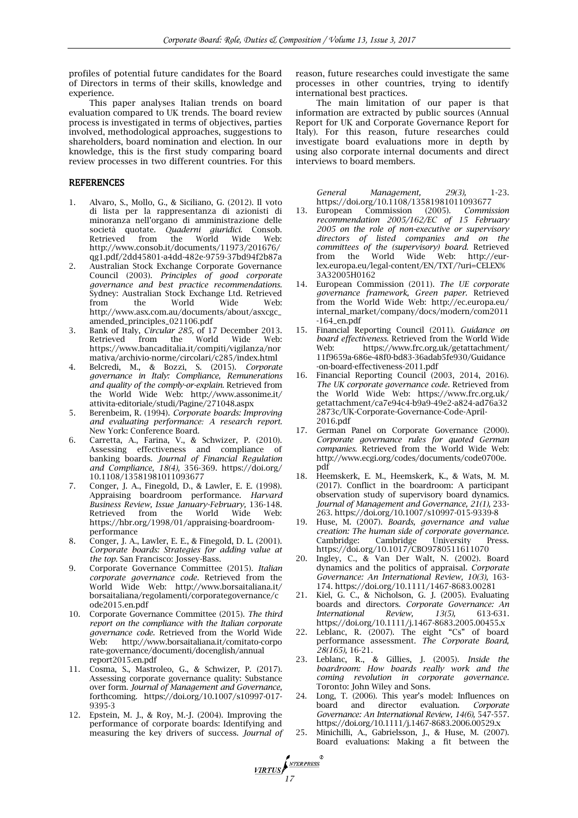profiles of potential future candidates for the Board of Directors in terms of their skills, knowledge and experience.

This paper analyses Italian trends on board evaluation compared to UK trends. The board review process is investigated in terms of objectives, parties involved, methodological approaches, suggestions to shareholders, board nomination and election. In our knowledge, this is the first study comparing board review processes in two different countries. For this

#### **REFERENCES**

- 1. Alvaro, S., Mollo, G., & Siciliano, G. (2012). Il voto di lista per la rappresentanza di azionisti di minoranza nell'organo di amministrazione delle società quotate. *Quaderni giuridici.* Consob. Retrieved from the World Wide Web: http://www.consob.it/documents/11973/201676/ qg1.pdf/2dd45801-a4dd-482e-9759-37bd94f2b87a
- 2. Australian Stock Exchange Corporate Governance Council (2003). *Principles of good corporate governance and best practice recommendations.* Sydney: Australian Stock Exchange Ltd. Retrieved from the World Wide Web: http://www.asx.com.au/documents/about/asxcgc\_ amended\_principles\_021106.pdf
- 3. Bank of Italy, *Circular 285,* of 17 December 2013. Retrieved from the World Wide Web: https://www.bancaditalia.it/compiti/vigilanza/nor mativa/archivio-norme/circolari/c285/index.html
- 4. Belcredi, M., & Bozzi, S. (2015). *Corporate governance in Italy: Compliance, Remunerations and quality of the comply-or-explain.* Retrieved from the World Wide Web: http://www.assonime.it/ attivita-editoriale/studi/Pagine/271048.aspx
- 5. Berenbeim, R. (1994). *Corporate boards: Improving and evaluating performance: A research report.* New York: Conference Board.
- 6. Carretta, A., Farina, V., & Schwizer, P. (2010). Assessing effectiveness and compliance of banking boards. *Journal of Financial Regulation and Compliance, 18(4),* 356-369. https://doi.org/ 10.1108/13581981011093677
- 7. Conger, J. A., Finegold, D., & Lawler, E. E. (1998). Appraising boardroom performance. *Harvard Business Review, Issue January-February,* 136-148. Retrieved from the World Wide Web: https://hbr.org/1998/01/appraising-boardroomperformance
- 8. Conger, J. A., Lawler, E. E., & Finegold, D. L. (2001). *Corporate boards: Strategies for adding value at the top.* San Francisco: Jossey-Bass.
- 9. Corporate Governance Committee (2015). *Italian corporate governance code*. Retrieved from the World Wide Web: http://www.borsaitaliana.it/ borsaitaliana/regolamenti/corporategovernance/c ode2015.en.pdf
- 10. Corporate Governance Committee (2015). *The third report on the compliance with the Italian corporate governance code.* Retrieved from the World Wide Web: http://www.borsaitaliana.it/comitato-corpo rate-governance/documenti/docenglish/annual report2015.en.pdf
- 11. Cosma, S., Mastroleo, G., & Schwizer, P. (2017). Assessing corporate governance quality: Substance over form. *Journal of Management and Governance,* forthcoming. https://doi.org/10.1007/s10997-017- 9395-3
- 12. Epstein, M. J., & Roy, M.-J. (2004). Improving the performance of corporate boards: Identifying and measuring the key drivers of success. *Journal of*

**17RTUS** 

reason, future researches could investigate the same processes in other countries, trying to identify international best practices.

The main limitation of our paper is that information are extracted by public sources (Annual Report for UK and Corporate Governance Report for Italy). For this reason, future researches could investigate board evaluations more in depth by using also corporate internal documents and direct interviews to board members.

*General Management, 29(3),* 1-23. https://doi.org/10.1108/13581981011093677

- 13. European Commission (2005). *Commission recommendation 2005/162/EC of 15 February 2005 on the role of non-executive or supervisory directors of listed companies and on the committees of the (supervisory) board.* Retrieved from the World Wide Web: http://eurlex.europa.eu/legal-content/EN/TXT/?uri=CELEX% 3A32005H0162
- 14. European Commission (2011). *The UE corporate governance framework, Green paper.* Retrieved from the World Wide Web: http://ec.europa.eu/ internal\_market/company/docs/modern/com2011 -164\_en.pdf
- 15. Financial Reporting Council (2011). *Guidance on board effectiveness.* Retrieved from the World Wide Web: https://www.frc.org.uk/getattachment/ 11f9659a-686e-48f0-bd83-36adab5fe930/Guidance -on-board-effectiveness-2011.pdf
- 16. Financial Reporting Council (2003, 2014, 2016). *The UK corporate governance code.* Retrieved from the World Wide Web: https://www.frc.org.uk/ getattachment/ca7e94c4-b9a9-49e2-a824-ad76a32 2873c/UK-Corporate-Governance-Code-April-2016.pdf
- 17. German Panel on Corporate Governance (2000). *Corporate governance rules for quoted German companies.* Retrieved from the World Wide Web: http://www.ecgi.org/codes/documents/code0700e. pdf
- 18. Heemskerk, E. M., Heemskerk, K., & Wats, M. M. (2017). Conflict in the boardroom: A participant observation study of supervisory board dynamics. *Journal of Management and Governance, 21(1),* 233- 263. https://doi.org/10.1007/s10997-015-9339-8
- 19. Huse, M. (2007). *Boards, governance and value creation: The human side of corporate governance.*  Cambridge: Cambridge University Press. https://doi.org/10.1017/CBO9780511611070
- 20. Ingley, C., & Van Der Walt, N. (2002). Board dynamics and the politics of appraisal. *Corporate Governance: An International Review, 10(3),* 163- 174. https://doi.org/10.1111/1467-8683.00281
- 21. Kiel, G. C., & Nicholson, G. J. (2005). Evaluating boards and directors. *Corporate Governance: An International Review, 13(5),* 613-631. https://doi.org/10.1111/j.1467-8683.2005.00455.x
- 22. Leblanc, R. (2007). The eight "Cs" of board performance assessment. *The Corporate Board, 28(165),* 16-21.
- 23. Leblanc, R., & Gillies, J. (2005). *Inside the boardroom: How boards really work and the coming revolution in corporate governance.*  Toronto: John Wiley and Sons.
- 24. Long, T. (2006). This year's model: Influences on board and director evaluation. *Corporate Governance: An International Review, 14(6),* 547-557. https://doi.org/10.1111/j.1467-8683.2006.00529.x
- 25. Minichilli, A., Gabrielsson, J., & Huse, M. (2007). Board evaluations: Making a fit between the